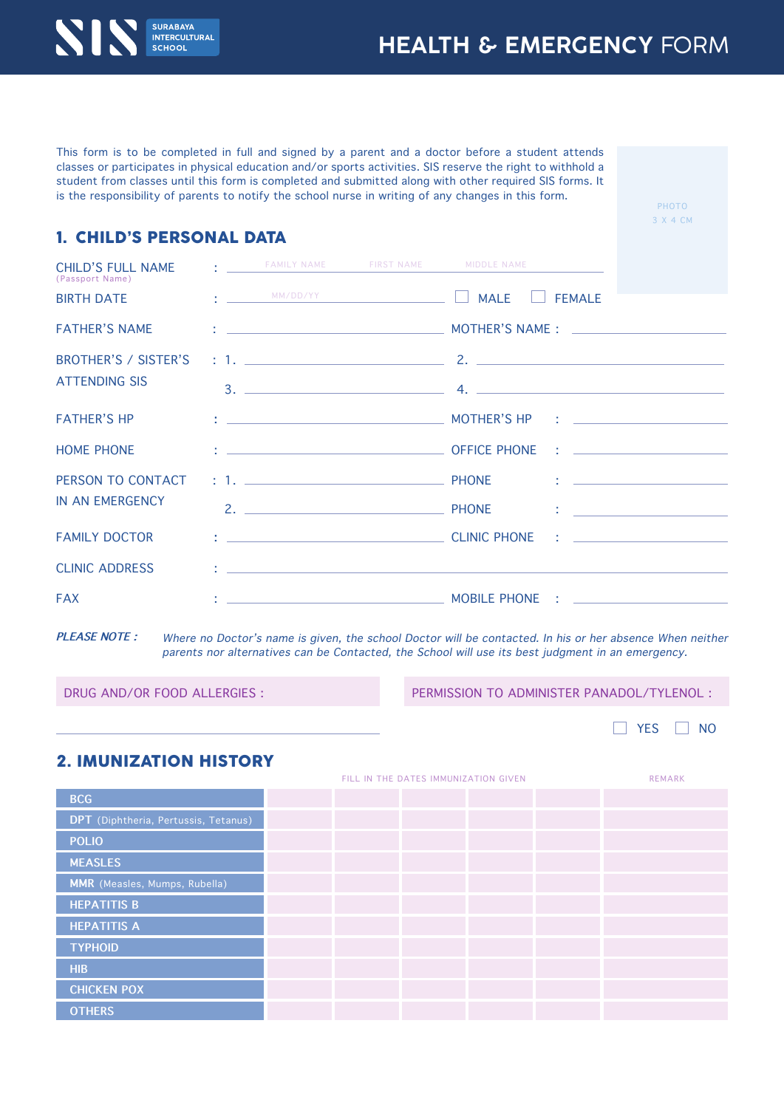

# **HEALTH & EMERGENCY** FORM

This form is to be completed in full and signed by a parent and a doctor before a student attends classes or participates in physical education and/or sports activities. SIS reserve the right to withhold a student from classes until this form is completed and submitted along with other required SIS forms. It is the responsibility of parents to notify the school nurse in writing of any changes in this form.

## 1. CHILD'S PERSONAL DATA

| (Passport Name)                              |                                                                                                                 |  |           |
|----------------------------------------------|-----------------------------------------------------------------------------------------------------------------|--|-----------|
|                                              |                                                                                                                 |  |           |
| <b>FATHER'S NAME</b>                         |                                                                                                                 |  |           |
| BROTHER'S / SISTER'S<br><b>ATTENDING SIS</b> |                                                                                                                 |  |           |
|                                              |                                                                                                                 |  | $3.$ $4.$ |
| <b>FATHER'S HP</b>                           |                                                                                                                 |  |           |
| <b>HOME PHONE</b>                            |                                                                                                                 |  |           |
| PERSON TO CONTACT                            |                                                                                                                 |  |           |
| IN AN EMERGENCY                              |                                                                                                                 |  |           |
| <b>FAMILY DOCTOR</b>                         |                                                                                                                 |  |           |
| <b>CLINIC ADDRESS</b>                        | the contract of the contract of the contract of the contract of the contract of the contract of the contract of |  |           |
| <b>FAX</b>                                   |                                                                                                                 |  |           |

**PLEASE NOTE :** Where no Doctor's name is given, the school Doctor will be contacted. In his or her absence When neither parents nor alternatives can be Contacted, the School will use its best judgment in an emergency.

DRUG AND/OR FOOD ALLERGIES : PERMISSION TO ADMINISTER PANADOL/TYLENOL :

| VFC | NΩ |
|-----|----|
|-----|----|

PHOTO 3 X 4 CM

## 2. IMUNIZATION HISTORY

|                                      | FILL IN THE DATES IMMUNIZATION GIVEN |  |  | <b>REMARK</b> |  |
|--------------------------------------|--------------------------------------|--|--|---------------|--|
| <b>BCG</b>                           |                                      |  |  |               |  |
| DPT (Diphtheria, Pertussis, Tetanus) |                                      |  |  |               |  |
| <b>POLIO</b>                         |                                      |  |  |               |  |
| <b>MEASLES</b>                       |                                      |  |  |               |  |
| MMR (Measles, Mumps, Rubella)        |                                      |  |  |               |  |
| <b>HEPATITIS B</b>                   |                                      |  |  |               |  |
| <b>HEPATITIS A</b>                   |                                      |  |  |               |  |
| <b>TYPHOID</b>                       |                                      |  |  |               |  |
| <b>HIB</b>                           |                                      |  |  |               |  |
| <b>CHICKEN POX</b>                   |                                      |  |  |               |  |
| <b>OTHERS</b>                        |                                      |  |  |               |  |